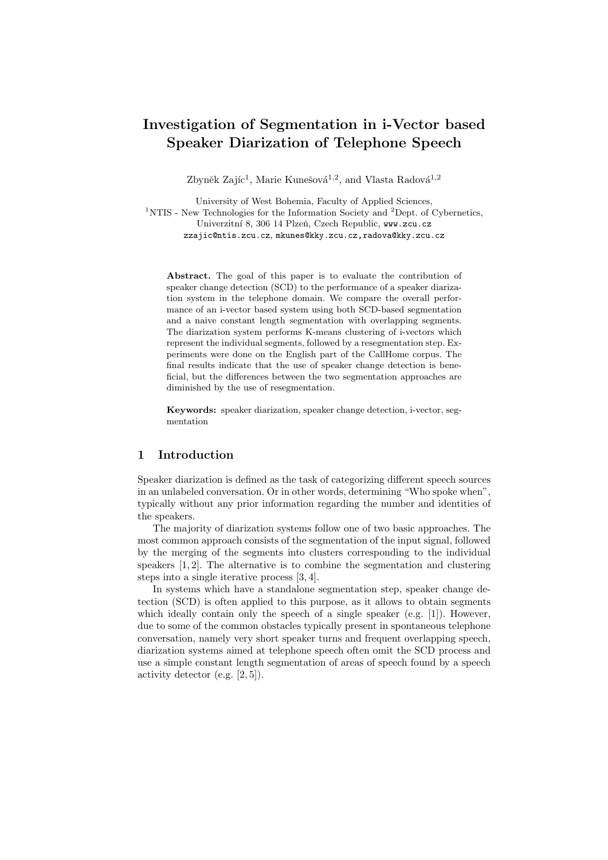# Investigation of Segmentation in i-Vector based Speaker Diarization of Telephone Speech

Zbyněk Zajíc<sup>1</sup>, Marie Kunešová<sup>1,2</sup>, and Vlasta Radová<sup>1,2</sup>

University of West Bohemia, Faculty of Applied Sciences,

<sup>1</sup>NTIS - New Technologies for the Information Society and <sup>2</sup>Dept. of Cybernetics, Univerzitní 8, 306 14 Plzeň, Czech Republic, www.zcu.cz zzajic@ntis.zcu.cz, mkunes@kky.zcu.cz,radova@kky.zcu.cz

Abstract. The goal of this paper is to evaluate the contribution of speaker change detection (SCD) to the performance of a speaker diarization system in the telephone domain. We compare the overall performance of an i-vector based system using both SCD-based segmentation and a naive constant length segmentation with overlapping segments. The diarization system performs K-means clustering of i-vectors which represent the individual segments, followed by a resegmentation step. Experiments were done on the English part of the CallHome corpus. The final results indicate that the use of speaker change detection is beneficial, but the differences between the two segmentation approaches are diminished by the use of resegmentation.

Keywords: speaker diarization, speaker change detection, i-vector, segmentation

# 1 Introduction

Speaker diarization is defined as the task of categorizing different speech sources in an unlabeled conversation. Or in other words, determining "Who spoke when", typically without any prior information regarding the number and identities of the speakers.

The majority of diarization systems follow one of two basic approaches. The most common approach consists of the segmentation of the input signal, followed by the merging of the segments into clusters corresponding to the individual speakers [1, 2]. The alternative is to combine the segmentation and clustering steps into a single iterative process [3, 4].

In systems which have a standalone segmentation step, speaker change detection (SCD) is often applied to this purpose, as it allows to obtain segments which ideally contain only the speech of a single speaker (e.g. [1]). However, due to some of the common obstacles typically present in spontaneous telephone conversation, namely very short speaker turns and frequent overlapping speech, diarization systems aimed at telephone speech often omit the SCD process and use a simple constant length segmentation of areas of speech found by a speech activity detector (e.g. [2, 5]).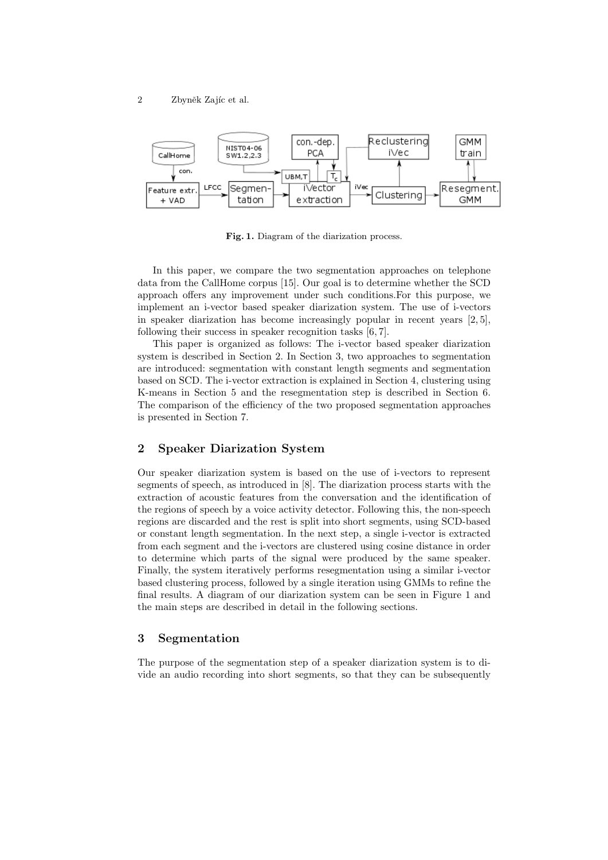

Fig. 1. Diagram of the diarization process.

In this paper, we compare the two segmentation approaches on telephone data from the CallHome corpus [15]. Our goal is to determine whether the SCD approach offers any improvement under such conditions.For this purpose, we implement an i-vector based speaker diarization system. The use of i-vectors in speaker diarization has become increasingly popular in recent years  $[2, 5]$ , following their success in speaker recognition tasks [6, 7].

This paper is organized as follows: The i-vector based speaker diarization system is described in Section 2. In Section 3, two approaches to segmentation are introduced: segmentation with constant length segments and segmentation based on SCD. The i-vector extraction is explained in Section 4, clustering using K-means in Section 5 and the resegmentation step is described in Section 6. The comparison of the efficiency of the two proposed segmentation approaches is presented in Section 7.

## 2 Speaker Diarization System

Our speaker diarization system is based on the use of i-vectors to represent segments of speech, as introduced in [8]. The diarization process starts with the extraction of acoustic features from the conversation and the identification of the regions of speech by a voice activity detector. Following this, the non-speech regions are discarded and the rest is split into short segments, using SCD-based or constant length segmentation. In the next step, a single i-vector is extracted from each segment and the i-vectors are clustered using cosine distance in order to determine which parts of the signal were produced by the same speaker. Finally, the system iteratively performs resegmentation using a similar i-vector based clustering process, followed by a single iteration using GMMs to refine the final results. A diagram of our diarization system can be seen in Figure 1 and the main steps are described in detail in the following sections.

## 3 Segmentation

The purpose of the segmentation step of a speaker diarization system is to divide an audio recording into short segments, so that they can be subsequently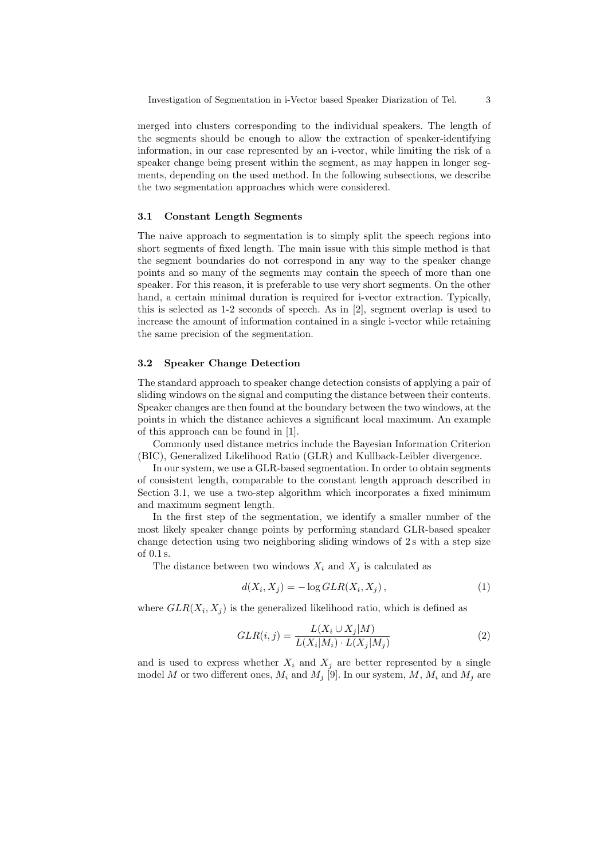merged into clusters corresponding to the individual speakers. The length of the segments should be enough to allow the extraction of speaker-identifying information, in our case represented by an i-vector, while limiting the risk of a speaker change being present within the segment, as may happen in longer segments, depending on the used method. In the following subsections, we describe the two segmentation approaches which were considered.

#### 3.1 Constant Length Segments

The naive approach to segmentation is to simply split the speech regions into short segments of fixed length. The main issue with this simple method is that the segment boundaries do not correspond in any way to the speaker change points and so many of the segments may contain the speech of more than one speaker. For this reason, it is preferable to use very short segments. On the other hand, a certain minimal duration is required for i-vector extraction. Typically, this is selected as 1-2 seconds of speech. As in [2], segment overlap is used to increase the amount of information contained in a single i-vector while retaining the same precision of the segmentation.

#### 3.2 Speaker Change Detection

The standard approach to speaker change detection consists of applying a pair of sliding windows on the signal and computing the distance between their contents. Speaker changes are then found at the boundary between the two windows, at the points in which the distance achieves a significant local maximum. An example of this approach can be found in [1].

Commonly used distance metrics include the Bayesian Information Criterion (BIC), Generalized Likelihood Ratio (GLR) and Kullback-Leibler divergence.

In our system, we use a GLR-based segmentation. In order to obtain segments of consistent length, comparable to the constant length approach described in Section 3.1, we use a two-step algorithm which incorporates a fixed minimum and maximum segment length.

In the first step of the segmentation, we identify a smaller number of the most likely speaker change points by performing standard GLR-based speaker change detection using two neighboring sliding windows of 2s with a step size of 0.1 s.

The distance between two windows  $X_i$  and  $X_j$  is calculated as

$$
d(X_i, X_j) = -\log GLR(X_i, X_j), \qquad (1)
$$

where  $GLR(X_i, X_j)$  is the generalized likelihood ratio, which is defined as

$$
GLR(i,j) = \frac{L(X_i \cup X_j|M)}{L(X_i|M_i) \cdot L(X_j|M_j)}
$$
\n
$$
(2)
$$

and is used to express whether  $X_i$  and  $X_j$  are better represented by a single model M or two different ones,  $M_i$  and  $M_j$  [9]. In our system, M,  $M_i$  and  $M_j$  are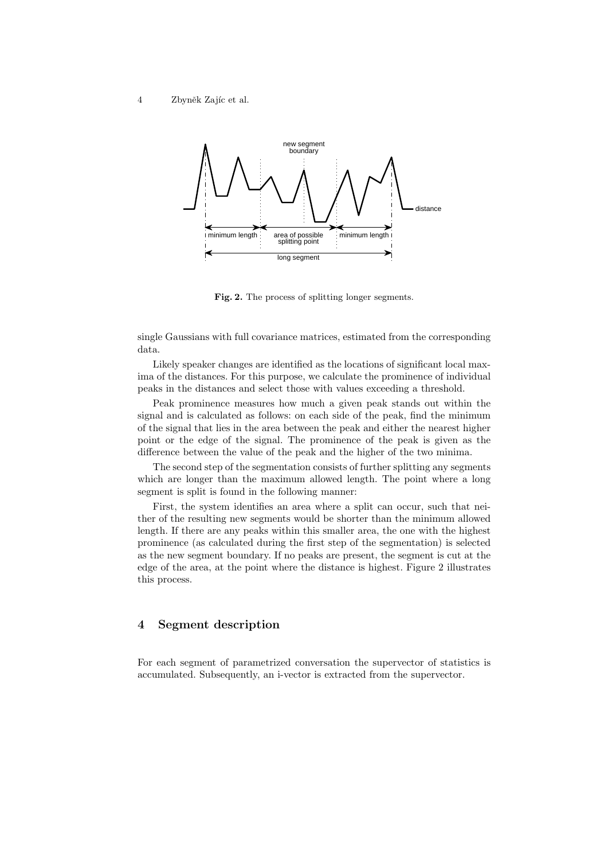

Fig. 2. The process of splitting longer segments.

single Gaussians with full covariance matrices, estimated from the corresponding data.

Likely speaker changes are identified as the locations of significant local maxima of the distances. For this purpose, we calculate the prominence of individual peaks in the distances and select those with values exceeding a threshold.

Peak prominence measures how much a given peak stands out within the signal and is calculated as follows: on each side of the peak, find the minimum of the signal that lies in the area between the peak and either the nearest higher point or the edge of the signal. The prominence of the peak is given as the difference between the value of the peak and the higher of the two minima.

The second step of the segmentation consists of further splitting any segments which are longer than the maximum allowed length. The point where a long segment is split is found in the following manner:

First, the system identifies an area where a split can occur, such that neither of the resulting new segments would be shorter than the minimum allowed length. If there are any peaks within this smaller area, the one with the highest prominence (as calculated during the first step of the segmentation) is selected as the new segment boundary. If no peaks are present, the segment is cut at the edge of the area, at the point where the distance is highest. Figure 2 illustrates this process.

# 4 Segment description

For each segment of parametrized conversation the supervector of statistics is accumulated. Subsequently, an i-vector is extracted from the supervector.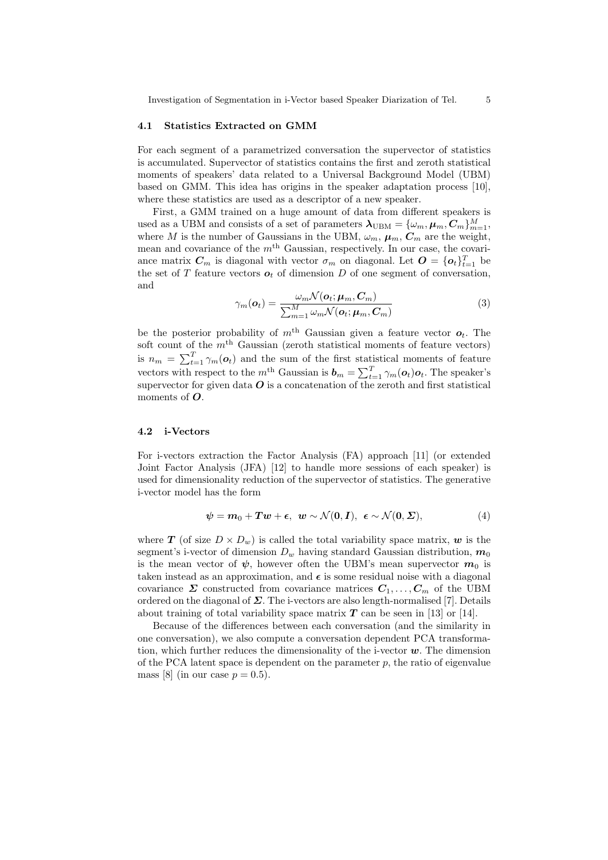#### 4.1 Statistics Extracted on GMM

For each segment of a parametrized conversation the supervector of statistics is accumulated. Supervector of statistics contains the first and zeroth statistical moments of speakers' data related to a Universal Background Model (UBM) based on GMM. This idea has origins in the speaker adaptation process [10], where these statistics are used as a descriptor of a new speaker.

First, a GMM trained on a huge amount of data from different speakers is used as a UBM and consists of a set of parameters  $\lambda_{\text{UBM}} = \{\omega_m, \mu_m, C_m\}_{m=1}^M$ , where M is the number of Gaussians in the UBM,  $\omega_m$ ,  $\mu_m$ ,  $C_m$  are the weight, mean and covariance of the  $m<sup>th</sup>$  Gaussian, respectively. In our case, the covariance matrix  $C_m$  is diagonal with vector  $\sigma_m$  on diagonal. Let  $O = \{o_t\}_{t=1}^T$  be the set of  $T$  feature vectors  $o_t$  of dimension  $D$  of one segment of conversation, and

$$
\gamma_m(\boldsymbol{o}_t) = \frac{\omega_m \mathcal{N}(\boldsymbol{o}_t; \boldsymbol{\mu}_m, \boldsymbol{C}_m)}{\sum_{m=1}^M \omega_m \mathcal{N}(\boldsymbol{o}_t; \boldsymbol{\mu}_m, \boldsymbol{C}_m)}
$$
(3)

be the posterior probability of  $m<sup>th</sup>$  Gaussian given a feature vector  $o_t$ . The soft count of the  $m<sup>th</sup>$  Gaussian (zeroth statistical moments of feature vectors) is  $n_m = \sum_{t=1}^T \gamma_m(o_t)$  and the sum of the first statistical moments of feature vectors with respect to the  $m<sup>th</sup>$  Gaussian is  $\boldsymbol{b}_m = \sum_{t=1}^T \gamma_m(\boldsymbol{o}_t) \boldsymbol{o}_t$ . The speaker's supervector for given data  $O$  is a concatenation of the zeroth and first statistical moments of  $O$ .

#### 4.2 i-Vectors

For i-vectors extraction the Factor Analysis (FA) approach [11] (or extended Joint Factor Analysis (JFA) [12] to handle more sessions of each speaker) is used for dimensionality reduction of the supervector of statistics. The generative i-vector model has the form

$$
\psi = m_0 + Tw + \epsilon, \ \ w \sim \mathcal{N}(\mathbf{0}, \mathbf{I}), \ \ \epsilon \sim \mathcal{N}(\mathbf{0}, \boldsymbol{\Sigma}), \tag{4}
$$

where **T** (of size  $D \times D_w$ ) is called the total variability space matrix, **w** is the segment's i-vector of dimension  $D_w$  having standard Gaussian distribution,  $m_0$ is the mean vector of  $\psi$ , however often the UBM's mean supervector  $m_0$  is taken instead as an approximation, and  $\epsilon$  is some residual noise with a diagonal covariance  $\Sigma$  constructed from covariance matrices  $C_1, \ldots, C_m$  of the UBM ordered on the diagonal of  $\Sigma$ . The i-vectors are also length-normalised [7]. Details about training of total variability space matrix  $T$  can be seen in [13] or [14].

Because of the differences between each conversation (and the similarity in one conversation), we also compute a conversation dependent PCA transformation, which further reduces the dimensionality of the i-vector  $w$ . The dimension of the PCA latent space is dependent on the parameter  $p$ , the ratio of eigenvalue mass [8] (in our case  $p = 0.5$ ).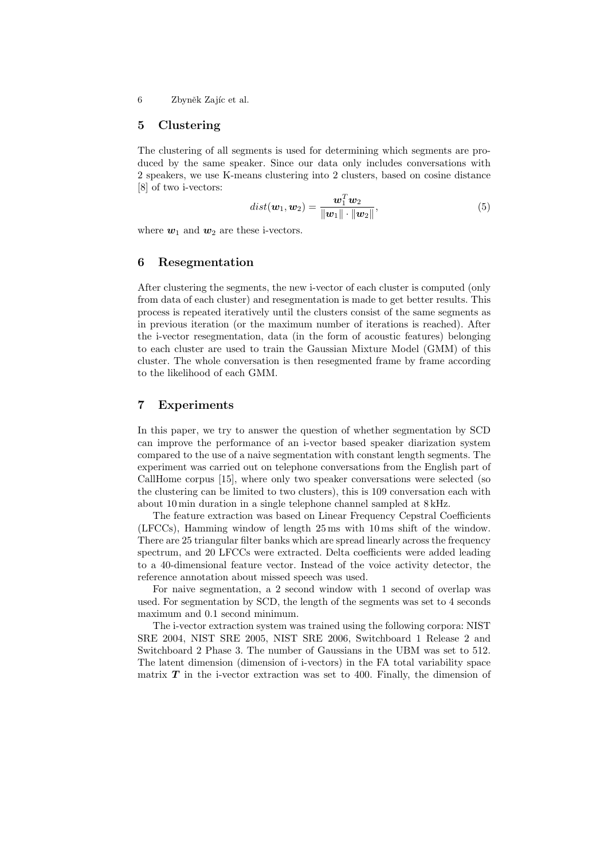#### 5 Clustering

The clustering of all segments is used for determining which segments are produced by the same speaker. Since our data only includes conversations with 2 speakers, we use K-means clustering into 2 clusters, based on cosine distance [8] of two i-vectors:

$$
dist(\boldsymbol{w}_1, \boldsymbol{w}_2) = \frac{\boldsymbol{w}_1^T \boldsymbol{w}_2}{\|\boldsymbol{w}_1\| \cdot \|\boldsymbol{w}_2\|},\tag{5}
$$

where  $w_1$  and  $w_2$  are these i-vectors.

# 6 Resegmentation

After clustering the segments, the new i-vector of each cluster is computed (only from data of each cluster) and resegmentation is made to get better results. This process is repeated iteratively until the clusters consist of the same segments as in previous iteration (or the maximum number of iterations is reached). After the i-vector resegmentation, data (in the form of acoustic features) belonging to each cluster are used to train the Gaussian Mixture Model (GMM) of this cluster. The whole conversation is then resegmented frame by frame according to the likelihood of each GMM.

# 7 Experiments

In this paper, we try to answer the question of whether segmentation by SCD can improve the performance of an i-vector based speaker diarization system compared to the use of a naive segmentation with constant length segments. The experiment was carried out on telephone conversations from the English part of CallHome corpus [15], where only two speaker conversations were selected (so the clustering can be limited to two clusters), this is 109 conversation each with about 10 min duration in a single telephone channel sampled at 8 kHz.

The feature extraction was based on Linear Frequency Cepstral Coefficients (LFCCs), Hamming window of length 25 ms with 10 ms shift of the window. There are 25 triangular filter banks which are spread linearly across the frequency spectrum, and 20 LFCCs were extracted. Delta coefficients were added leading to a 40-dimensional feature vector. Instead of the voice activity detector, the reference annotation about missed speech was used.

For naive segmentation, a 2 second window with 1 second of overlap was used. For segmentation by SCD, the length of the segments was set to 4 seconds maximum and 0.1 second minimum.

The i-vector extraction system was trained using the following corpora: NIST SRE 2004, NIST SRE 2005, NIST SRE 2006, Switchboard 1 Release 2 and Switchboard 2 Phase 3. The number of Gaussians in the UBM was set to 512. The latent dimension (dimension of i-vectors) in the FA total variability space matrix  $T$  in the i-vector extraction was set to 400. Finally, the dimension of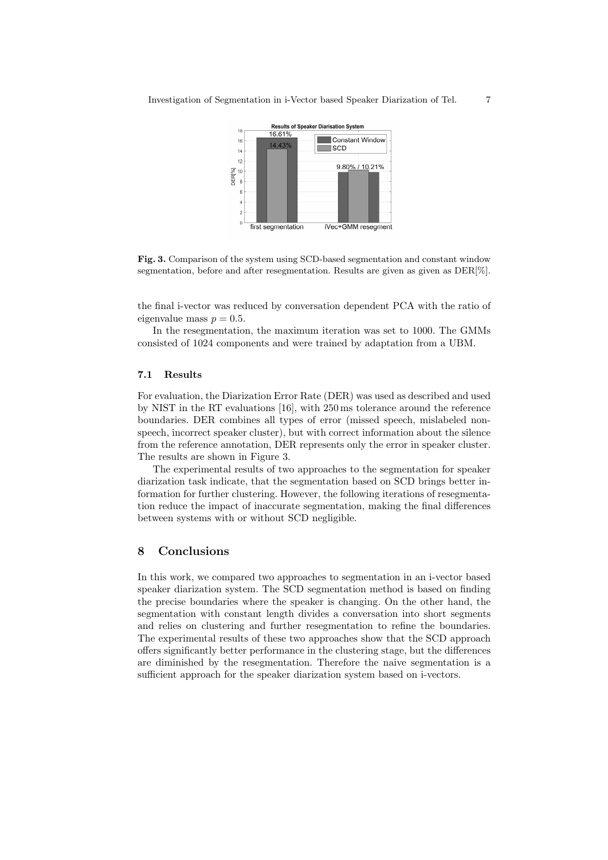

Fig. 3. Comparison of the system using SCD-based segmentation and constant window segmentation, before and after resegmentation. Results are given as given as DER[%].

the final i-vector was reduced by conversation dependent PCA with the ratio of eigenvalue mass  $p = 0.5$ .

In the resegmentation, the maximum iteration was set to 1000. The GMMs consisted of 1024 components and were trained by adaptation from a UBM.

#### 7.1 Results

For evaluation, the Diarization Error Rate (DER) was used as described and used by NIST in the RT evaluations [16], with 250 ms tolerance around the reference boundaries. DER combines all types of error (missed speech, mislabeled nonspeech, incorrect speaker cluster), but with correct information about the silence from the reference annotation, DER represents only the error in speaker cluster. The results are shown in Figure 3.

The experimental results of two approaches to the segmentation for speaker diarization task indicate, that the segmentation based on SCD brings better information for further clustering. However, the following iterations of resegmentation reduce the impact of inaccurate segmentation, making the final differences between systems with or without SCD negligible.

## 8 Conclusions

In this work, we compared two approaches to segmentation in an i-vector based speaker diarization system. The SCD segmentation method is based on finding the precise boundaries where the speaker is changing. On the other hand, the segmentation with constant length divides a conversation into short segments and relies on clustering and further resegmentation to refine the boundaries. The experimental results of these two approaches show that the SCD approach offers significantly better performance in the clustering stage, but the differences are diminished by the resegmentation. Therefore the naive segmentation is a sufficient approach for the speaker diarization system based on i-vectors.